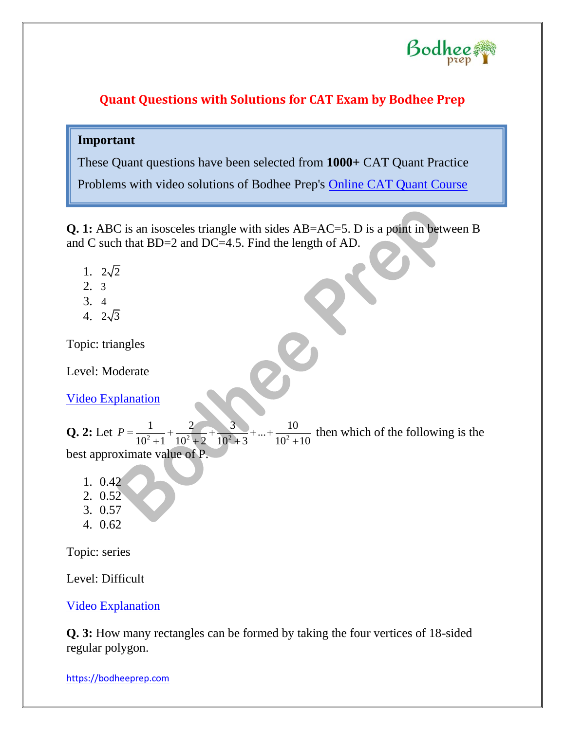

## **Quant Questions with Solutions for CAT Exam by Bodhee Prep**

## **Important**

These Quant questions have been selected from **1000+** CAT Quant Practice

Problems with video solutions of Bodhee Prep's [Online CAT Quant Course](https://online.bodheeprep.com/learn/cat-quant-online-course)

**Q. 1:** ABC is an isosceles triangle with sides AB=AC=5. D is a point in between B and C such that BD=2 and DC=4.5. Find the length of AD.

- 1.  $2\sqrt{2}$
- 2. 3
- 3. 4
- 4.  $2\sqrt{3}$

Topic: triangles

Level: Moderate

[Video Explanation](https://www.youtube.com/watch?v=hoDzuzAzwzQ)

**Q. 2:** Let  $P =$  $\frac{1}{2^2+1}$  +  $\frac{2}{10^2+2}$  +  $\frac{3}{10^2+3}$  + ... +  $\frac{1}{10^2}$  $\frac{1}{2} + \frac{2}{10^{2}} + \frac{3}{10^{2}} + \dots + \frac{10}{10^{2}}$  $\frac{1}{10^2+1} + \frac{2}{10^2+2} + \frac{3}{10^2+3} + \dots + \frac{10}{10^2+10}$  $P = \frac{1}{10^2 + 1} + \frac{2}{10^2 + 2} + \frac{3}{10^2 + 3} + ... + \frac{10}{10^2 + 10^2}$  $\frac{2}{x+1} + \frac{2}{10^2 + 2} + \frac{3}{10^2 + 3} + \dots + \frac{10}{10^2 + 10}$  th then which of the following is the best approximate value of P.

- 1. 0.42
- 2. 0.52
- 3. 0.57
- 4. 0.62

Topic: series

Level: Difficult

[Video Explanation](https://www.youtube.com/watch?v=g1WeNeCjFEA)

**Q. 3:** How many rectangles can be formed by taking the four vertices of 18-sided regular polygon.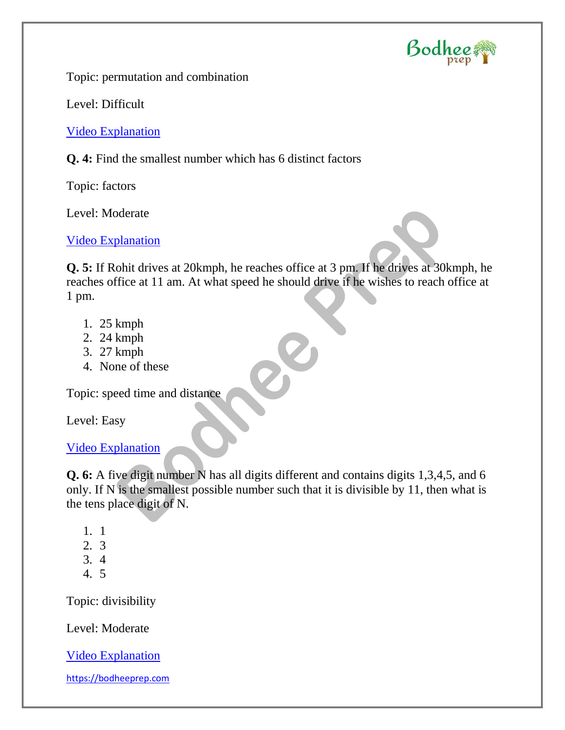

Topic: permutation and combination

Level: Difficult

[Video Explanation](https://www.youtube.com/watch?v=bBbry_WpGec)

**Q. 4:** Find the smallest number which has 6 distinct factors

Topic: factors

Level: Moderate

[Video Explanation](https://www.youtube.com/watch?v=X_bUxtBB-Yw)

**Q. 5:** If Rohit drives at 20kmph, he reaches office at 3 pm. If he drives at 30kmph, he reaches office at 11 am. At what speed he should drive if he wishes to reach office at 1 pm.

- 1. 25 kmph
- 2. 24 kmph
- 3. 27 kmph
- 4. None of these

Topic: speed time and distance

Level: Easy

## [Video Explanation](https://www.youtube.com/watch?v=USiHmkuxAwE)

**Q. 6:** A five digit number N has all digits different and contains digits 1,3,4,5, and 6 only. If N is the smallest possible number such that it is divisible by 11, then what is the tens place digit of N.

- 1. 1
- 2. 3
- 3. 4
- 4. 5

Topic: divisibility

Level: Moderate

[Video Explanation](https://www.youtube.com/watch?v=kVbNAcaGJog)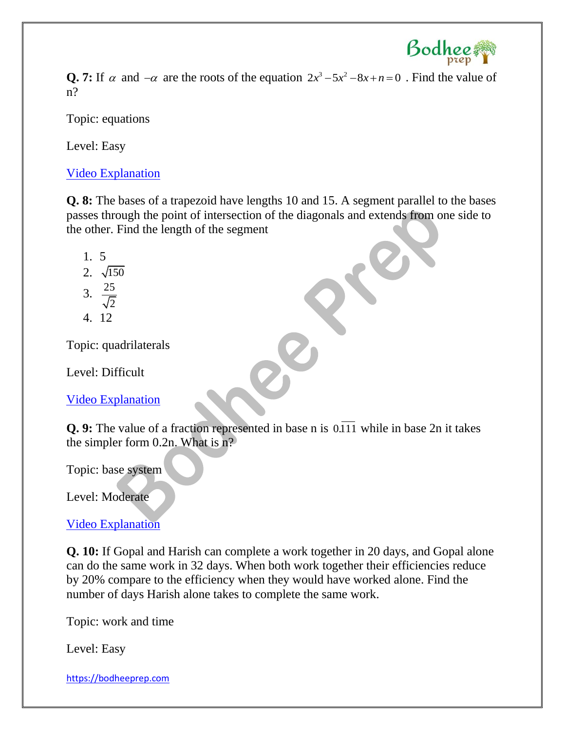

**Q. 7:** If  $\alpha$  and  $-\alpha$  are the roots of the equation  $2x^3 - 5x^2 - 8x + n = 0$ . Find the value of n?

Topic: equations

Level: Easy

[Video Explanation](https://www.youtube.com/watch?v=U2wkHq4kGaA)

**Q. 8:** The bases of a trapezoid have lengths 10 and 15. A segment parallel to the bases passes through the point of intersection of the diagonals and extends from one side to the other. Find the length of the segment

- 1. 5
- 2. √150 3.  $\frac{25}{5}$
- 2 4. 12

Topic: quadrilaterals

Level: Difficult

[Video Explanation](https://www.youtube.com/watch?v=4w4xAQYdozg)

**Q. 9:** The value of a fraction represented in base n is 0.111 while in base 2n it takes the simpler form 0.2n. What is n?

Topic: base system

Level: Moderate

[Video Explanation](https://www.youtube.com/watch?v=C2OvxLgT1DM)

**Q. 10:** If Gopal and Harish can complete a work together in 20 days, and Gopal alone can do the same work in 32 days. When both work together their efficiencies reduce by 20% compare to the efficiency when they would have worked alone. Find the number of days Harish alone takes to complete the same work.

Topic: work and time

Level: Easy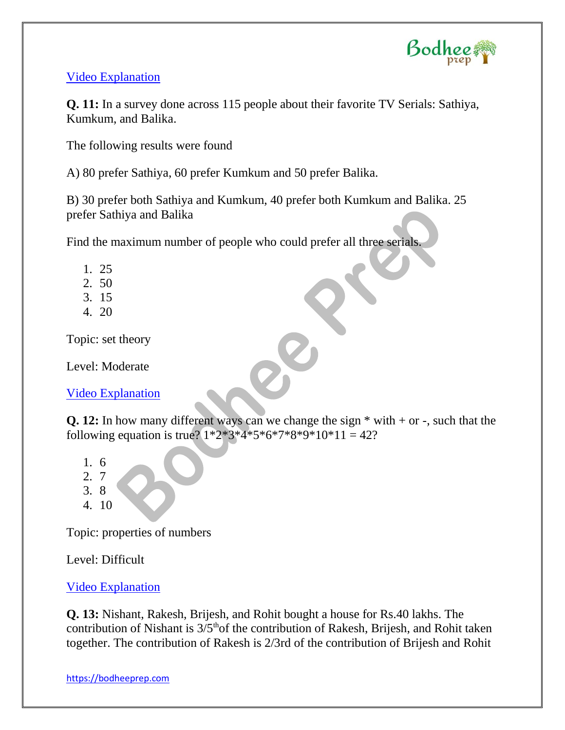

### [Video Explanation](https://www.youtube.com/watch?v=_cXRkxRiuM8)

**Q. 11:** In a survey done across 115 people about their favorite TV Serials: Sathiya, Kumkum, and Balika.

The following results were found

A) 80 prefer Sathiya, 60 prefer Kumkum and 50 prefer Balika.

B) 30 prefer both Sathiya and Kumkum, 40 prefer both Kumkum and Balika. 25 prefer Sathiya and Balika

Find the maximum number of people who could prefer all three serials.

- 1. 25
- 2. 50
- 3. 15
- 4. 20

Topic: set theory

Level: Moderate

[Video Explanation](https://www.youtube.com/watch?v=rcwFdwj1_vg)

**Q. 12:** In how many different ways can we change the sign  $*$  with  $+$  or  $-$ , such that the following equation is true?  $1*2*3*4*5*6*7*8*9*10*11 = 42?$ 

- 1. 6
- 2. 7
- 3. 8
- 4. 10

Topic: properties of numbers

Level: Difficult

[Video Explanation](https://www.youtube.com/watch?v=hPDh8XoEBjM)

**Q. 13:** Nishant, Rakesh, Brijesh, and Rohit bought a house for Rs.40 lakhs. The contribution of Nishant is  $3/5<sup>th</sup>$ of the contribution of Rakesh, Brijesh, and Rohit taken together. The contribution of Rakesh is 2/3rd of the contribution of Brijesh and Rohit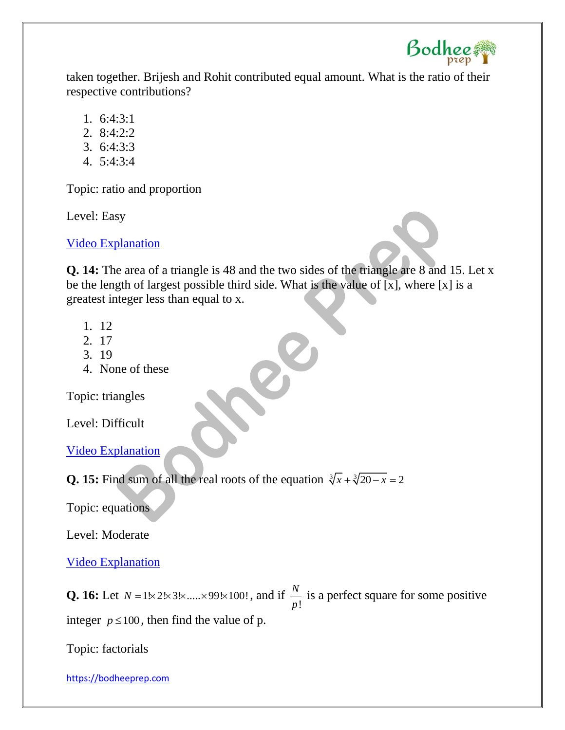

taken together. Brijesh and Rohit contributed equal amount. What is the ratio of their respective contributions?

- 1. 6:4:3:1
- 2. 8:4:2:2
- 3. 6:4:3:3
- 4. 5:4:3:4

Topic: ratio and proportion

Level: Easy

[Video Explanation](https://www.youtube.com/watch?v=Q-N6FHPIlrk)

**Q. 14:** The area of a triangle is 48 and the two sides of the triangle are 8 and 15. Let x be the length of largest possible third side. What is the value of  $\overline{[x]}$ , where  $\overline{[x]}$  is a greatest integer less than equal to x.

- 1. 12
- 2. 17
- 3. 19
- 4. None of these

Topic: triangles

Level: Difficult

[Video Explanation](https://www.youtube.com/watch?v=V29rzG5kMJM)

**Q. 15:** Find sum of all the real roots of the equation  $\sqrt[3]{x} + \sqrt[3]{20-x} = 2$ 

Topic: equations

Level: Moderate

[Video Explanation](https://www.youtube.com/watch?v=_KwaXfbyQlU)

**Q. 16:** Let  $N = 1 \times 2 \times 3 \times \dots \times 99 \times 100!$ , and if ! *N p* is a perfect square for some positive integer  $p \le 100$ , then find the value of p.

Topic: factorials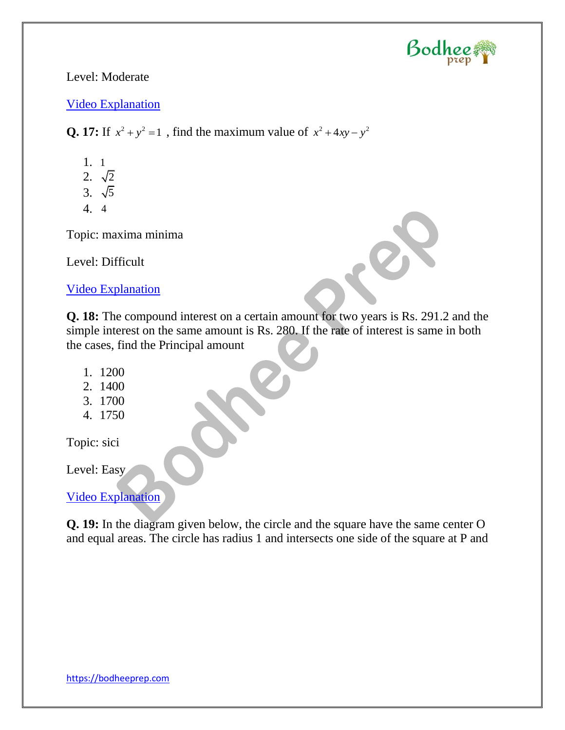

#### Level: Moderate

#### [Video Explanation](https://www.youtube.com/watch?v=-TuloxXpS3A)

**Q. 17:** If  $x^2 + y^2 = 1$ , find the maximum value of  $x^2 + 4xy - y^2$ 

- 1. 1
- 2.  $\sqrt{2}$
- 3. 5
- 4. 4

Topic: maxima minima

Level: Difficult

[Video Explanation](https://www.youtube.com/watch?v=Ol8312eVN-s)

**Q. 18:** The compound interest on a certain amount for two years is Rs. 291.2 and the simple interest on the same amount is Rs. 280. If the rate of interest is same in both the cases, find the Principal amount

- 1. 1200
- 2. 1400
- 3. 1700
- 4. 1750

Topic: sici

Level: Easy

#### [Video Explanation](https://www.youtube.com/watch?v=RsDfdx7OtTE)

**Q. 19:** In the diagram given below, the circle and the square have the same center O and equal areas. The circle has radius 1 and intersects one side of the square at P and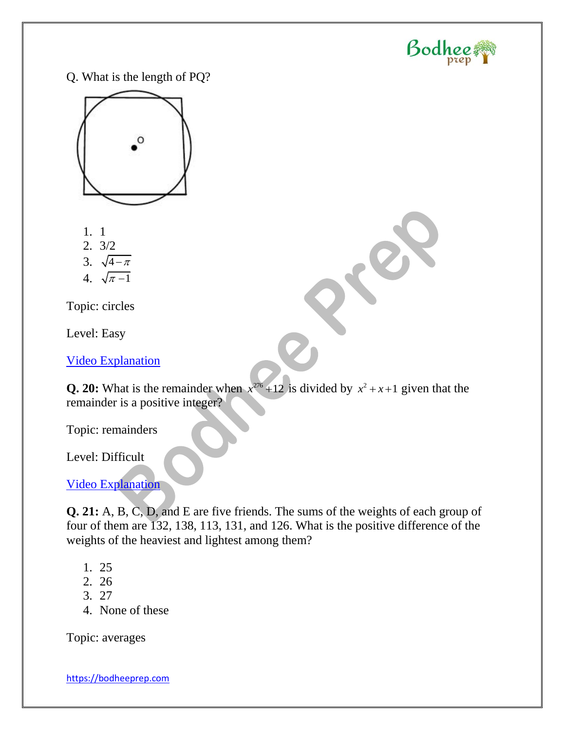

Q. What is the length of PQ?



- 1. 1
- 2. 3/2
- 3.  $\sqrt{4-\pi}$
- 4.  $\sqrt{\pi-1}$

Topic: circles

Level: Easy

[Video Explanation](https://www.youtube.com/watch?v=QXzDIZxPz_4)

**Q. 20:** What is the remainder when  $x^{276} + 12$  is divided by  $x^2 + x + 1$  given that the remainder is a positive integer?

Topic: remainders

Level: Difficult

[Video Explanation](https://www.youtube.com/watch?v=-LbEkrZekhg)

**Q. 21:** A, B, C, D, and E are five friends. The sums of the weights of each group of four of them are 132, 138, 113, 131, and 126. What is the positive difference of the weights of the heaviest and lightest among them?

- 1. 25
- 2. 26
- 3. 27
- 4. None of these

Topic: averages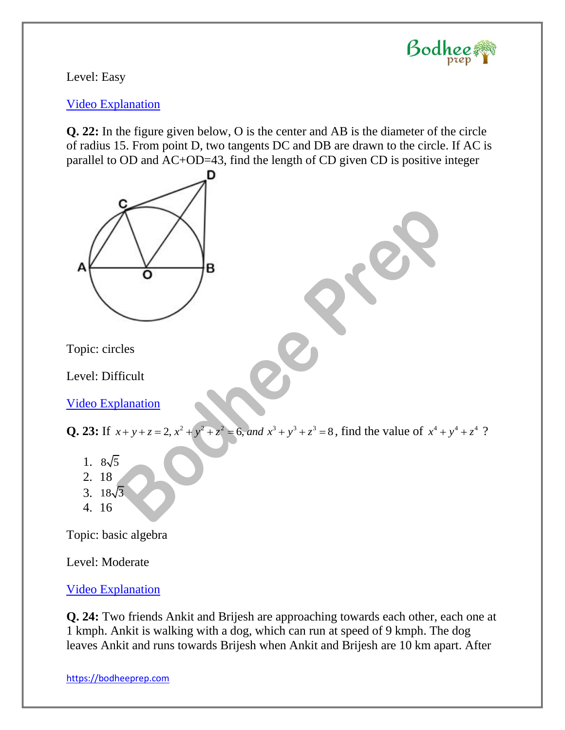

Level: Easy

[Video Explanation](https://www.youtube.com/watch?v=hqjK9KRhQfc)

**Q. 22:** In the figure given below, O is the center and AB is the diameter of the circle of radius 15. From point D, two tangents DC and DB are drawn to the circle. If AC is parallel to OD and AC+OD=43, find the length of CD given CD is positive integer



[Video Explanation](https://www.youtube.com/watch?v=HUGaFT59_ww)

**Q. 24:** Two friends Ankit and Brijesh are approaching towards each other, each one at 1 kmph. Ankit is walking with a dog, which can run at speed of 9 kmph. The dog leaves Ankit and runs towards Brijesh when Ankit and Brijesh are 10 km apart. After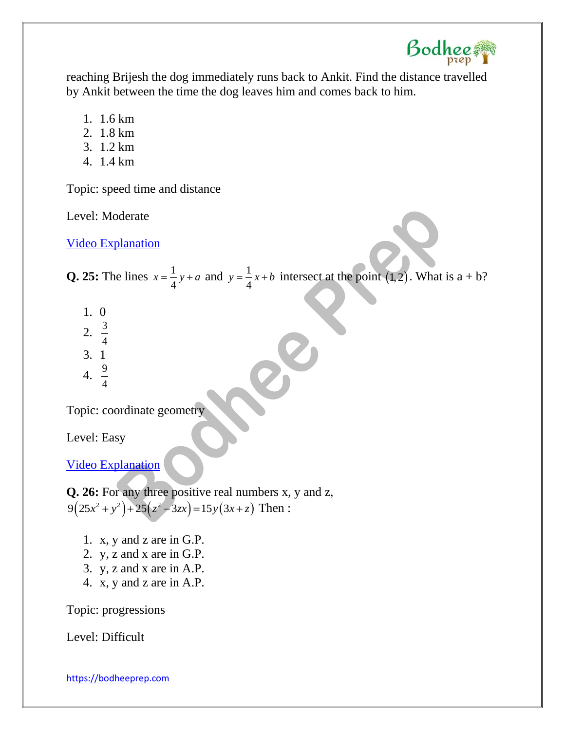

reaching Brijesh the dog immediately runs back to Ankit. Find the distance travelled by Ankit between the time the dog leaves him and comes back to him.

- 1. 1.6 km
- 2. 1.8 km
- 3. 1.2 km
- 4. 1.4 km

Topic: speed time and distance

Level: Moderate

[Video Explanation](https://www.youtube.com/watch?v=CB7lF8wCoeE)

**Q. 25:** The lines  $x = \frac{1}{4}$ 4  $x = \frac{1}{4}y + a$  and  $y = \frac{1}{4}$ 4  $y = \frac{1}{4}x + b$  intersect at the point  $(1,2)$ . What is  $a + b$ ?

- 1. 0
- 2.  $\frac{3}{4}$
- 4 3. 1
- 
- 4.  $\frac{9}{4}$ 4

Topic: coordinate geometry

Level: Easy

[Video Explanation](https://www.youtube.com/watch?v=MDi1r-pt9Rg)

**Q. 26:** For any three positive real numbers x, y and z, **Q. 26:** For any three positive real numbers x,<br> $9(25x^2 + y^2) + 25(z^2 - 3zx) = 15y(3x + z)$  Then:

- 1. x, y and z are in G.P.
- 2. y, z and x are in G.P.
- 3. y, z and x are in A.P.
- 4. x, y and z are in A.P.

Topic: progressions

Level: Difficult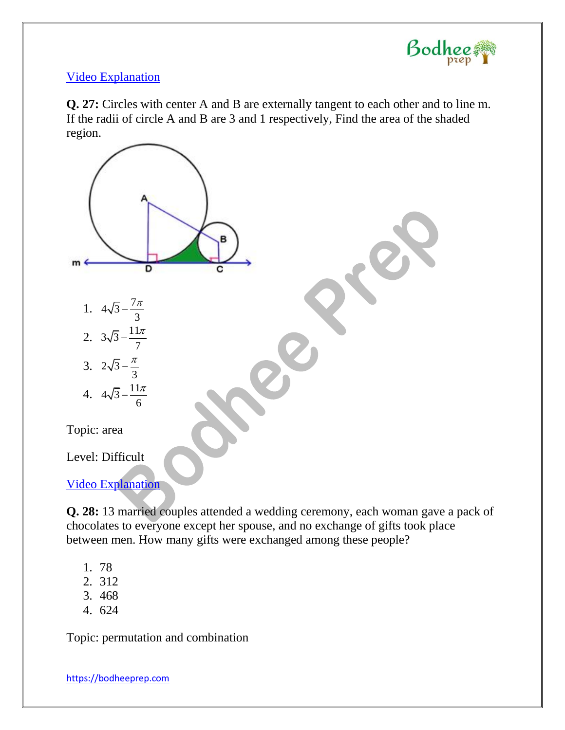

#### [Video Explanation](https://www.youtube.com/watch?v=VHQ1TFu_Yjc)

**Q. 27:** Circles with center A and B are externally tangent to each other and to line m. If the radii of circle A and B are 3 and 1 respectively, Find the area of the shaded region.



**Q. 28:** 13 married couples attended a wedding ceremony, each woman gave a pack of chocolates to everyone except her spouse, and no exchange of gifts took place between men. How many gifts were exchanged among these people?

- 1. 78
- 2. 312
- 3. 468
- 4. 624

Topic: permutation and combination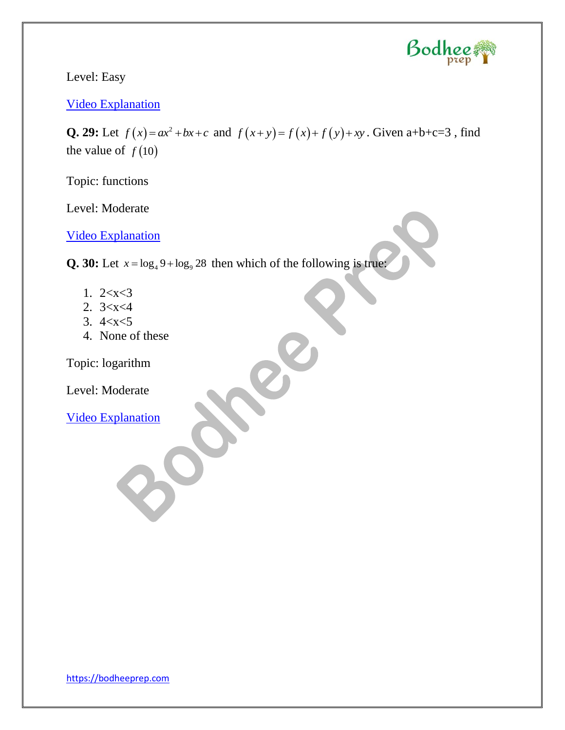

Level: Easy

[Video Explanation](https://www.youtube.com/watch?v=Cq8fDgFdipI)

**Q. 29:** Let  $f(x) = ax^2 + bx + c$  and  $f(x+y) = f(x)+f(y)+xy$ . Given a+b+c=3, find the value of  $f(10)$ 

Topic: functions

Level: Moderate

[Video Explanation](https://www.youtube.com/watch?v=uDM84qToqQE)

**Q. 30:** Let  $x = \log_4 9 + \log_9 28$  then which of the following is true:

- 1. 2<x<3
- 2. 3<x<4
- 3.  $4 < x < 5$
- 4. None of these

Topic: logarithm

Level: Moderate

[Video Explanation](https://www.youtube.com/watch?v=Ean50B3NoJQ)